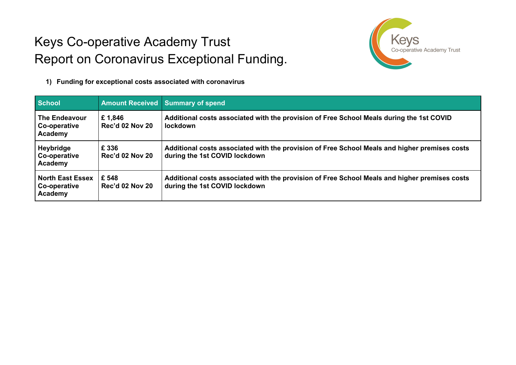## Keys Co-operative Academy Trust Report on Coronavirus Exceptional Funding.



**1) Funding for exceptional costs associated with coronavirus**

| <b>School</b>                                      |                                  | <b>Amount Received Summary of spend</b>                                                                                        |
|----------------------------------------------------|----------------------------------|--------------------------------------------------------------------------------------------------------------------------------|
| The Endeavour<br>Co-operative<br><b>Academy</b>    | £1,846<br><b>Rec'd 02 Nov 20</b> | Additional costs associated with the provision of Free School Meals during the 1st COVID<br><b>lockdown</b>                    |
| Heybridge<br>Co-operative<br><b>Academy</b>        | £ 336<br><b>Rec'd 02 Nov 20</b>  | Additional costs associated with the provision of Free School Meals and higher premises costs<br>during the 1st COVID lockdown |
| <b>North East Essex</b><br>Co-operative<br>Academy | £ 548<br><b>Rec'd 02 Nov 20</b>  | Additional costs associated with the provision of Free School Meals and higher premises costs<br>during the 1st COVID lockdown |